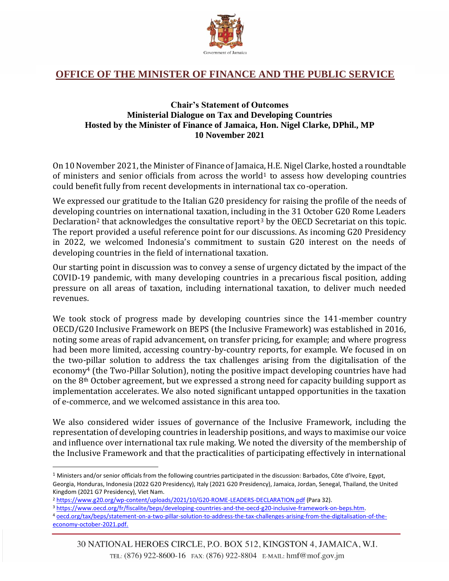

## **OFFICE OF THE MINISTER OF FINANCE AND THE PUBLIC SERVICE**

## **Chair's Statement of Outcomes Ministerial Dialogue on Tax and Developing Countries Hosted by the Minister of Finance of Jamaica, Hon. Nigel Clarke, DPhil., MP 10 November 2021**

On 10 November 2021, the Minister of Finance of Jamaica, H.E. Nigel Clarke, hosted a roundtable of ministers and senior officials from across the world<sup>1</sup> to assess how developing countries could benefit fully from recent developments in international tax co-operation.

We expressed our gratitude to the Italian G20 presidency for raising the profile of the needs of developing countries on international taxation, including in the 31 October G20 Rome Leaders Declaration<sup>2</sup> that acknowledges the consultative report<sup>3</sup> by the OECD Secretariat on this topic. The report provided a useful reference point for our discussions. As incoming G20 Presidency in 2022, we welcomed Indonesia's commitment to sustain G20 interest on the needs of developing countries in the field of international taxation.

Our starting point in discussion was to convey a sense of urgency dictated by the impact of the COVID-19 pandemic, with many developing countries in a precarious fiscal position, adding pressure on all areas of taxation, including international taxation, to deliver much needed revenues.

We took stock of progress made by developing countries since the 141-member country OECD/G20 Inclusive Framework on BEPS (the Inclusive Framework) was established in 2016, noting some areas of rapid advancement, on transfer pricing, for example; and where progress had been more limited, accessing country-by-country reports, for example. We focused in on the two-pillar solution to address the tax challenges arising from the digitalisation of the economy<sup>4</sup> (the Two-Pillar Solution), noting the positive impact developing countries have had on the 8th October agreement, but we expressed a strong need for capacity building support as implementation accelerates. We also noted significant untapped opportunities in the taxation of e-commerce, and we welcomed assistance in this area too.

We also considered wider issues of governance of the Inclusive Framework, including the representation of developing countries in leadership positions, and ways to maximise our voice and influence over international tax rule making. We noted the diversity of the membership of the Inclusive Framework and that the practicalities of participating effectively in international

<sup>4</sup> [oecd.org/tax/beps/statement-on-a-two-pillar-solution-to-address-the-tax-challenges-arising-from-the-digitalisation-of-the](../../../../../tonino_h/AppData/Local/Microsoft/Windows/INetCache/Content.Outlook/R1IQHJ1T/oecd.org/tax/beps/statement-on-a-two-pillar-solution-to-address-the-tax-challenges-arising-from-the-digitalisation-of-the-economy-october-2021.pdf)[economy-october-2021.pdf.](../../../../../tonino_h/AppData/Local/Microsoft/Windows/INetCache/Content.Outlook/R1IQHJ1T/oecd.org/tax/beps/statement-on-a-two-pillar-solution-to-address-the-tax-challenges-arising-from-the-digitalisation-of-the-economy-october-2021.pdf)

<sup>1</sup> Ministers and/or senior officials from the following countries participated in the discussion: Barbados, Côte d'Ivoire, Egypt, Georgia, Honduras, Indonesia (2022 G20 Presidency), Italy (2021 G20 Presidency), Jamaica, Jordan, Senegal, Thailand, the United Kingdom (2021 G7 Presidency), Viet Nam.

<sup>2</sup> <https://www.g20.org/wp-content/uploads/2021/10/G20-ROME-LEADERS-DECLARATION.pdf> (Para 32).

<sup>3</sup> [https://www.oecd.org/fr/fiscalite/beps/developing-countries-and-the-oecd-g20-inclusive-framework-on-beps.htm.](https://www.oecd.org/fr/fiscalite/beps/developing-countries-and-the-oecd-g20-inclusive-framework-on-beps.htm)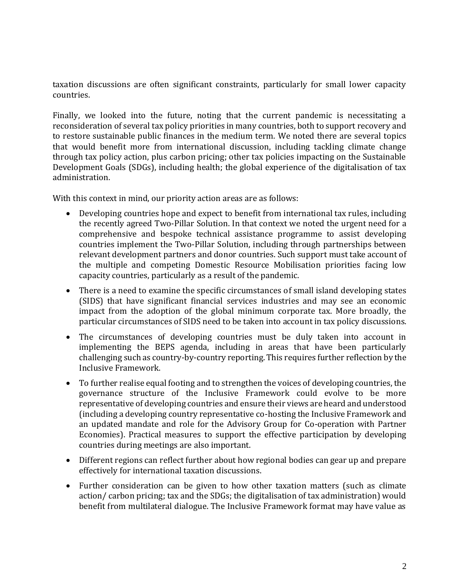taxation discussions are often significant constraints, particularly for small lower capacity countries.

Finally, we looked into the future, noting that the current pandemic is necessitating a reconsideration of several tax policy priorities in many countries, both to support recovery and to restore sustainable public finances in the medium term. We noted there are several topics that would benefit more from international discussion, including tackling climate change through tax policy action, plus carbon pricing; other tax policies impacting on the Sustainable Development Goals (SDGs), including health; the global experience of the digitalisation of tax administration.

With this context in mind, our priority action areas are as follows:

- Developing countries hope and expect to benefit from international tax rules, including the recently agreed Two-Pillar Solution. In that context we noted the urgent need for a comprehensive and bespoke technical assistance programme to assist developing countries implement the Two-Pillar Solution, including through partnerships between relevant development partners and donor countries. Such support must take account of the multiple and competing Domestic Resource Mobilisation priorities facing low capacity countries, particularly as a result of the pandemic.
- There is a need to examine the specific circumstances of small island developing states (SIDS) that have significant financial services industries and may see an economic impact from the adoption of the global minimum corporate tax. More broadly, the particular circumstances of SIDS need to be taken into account in tax policy discussions.
- The circumstances of developing countries must be duly taken into account in implementing the BEPS agenda, including in areas that have been particularly challenging such as country-by-country reporting. This requires further reflection by the Inclusive Framework.
- To further realise equal footing and to strengthen the voices of developing countries, the governance structure of the Inclusive Framework could evolve to be more representative of developing countries and ensure their views are heard and understood (including a developing country representative co-hosting the Inclusive Framework and an updated mandate and role for the Advisory Group for Co-operation with Partner Economies). Practical measures to support the effective participation by developing countries during meetings are also important.
- Different regions can reflect further about how regional bodies can gear up and prepare effectively for international taxation discussions.
- Further consideration can be given to how other taxation matters (such as climate action/ carbon pricing; tax and the SDGs; the digitalisation of tax administration) would benefit from multilateral dialogue. The Inclusive Framework format may have value as